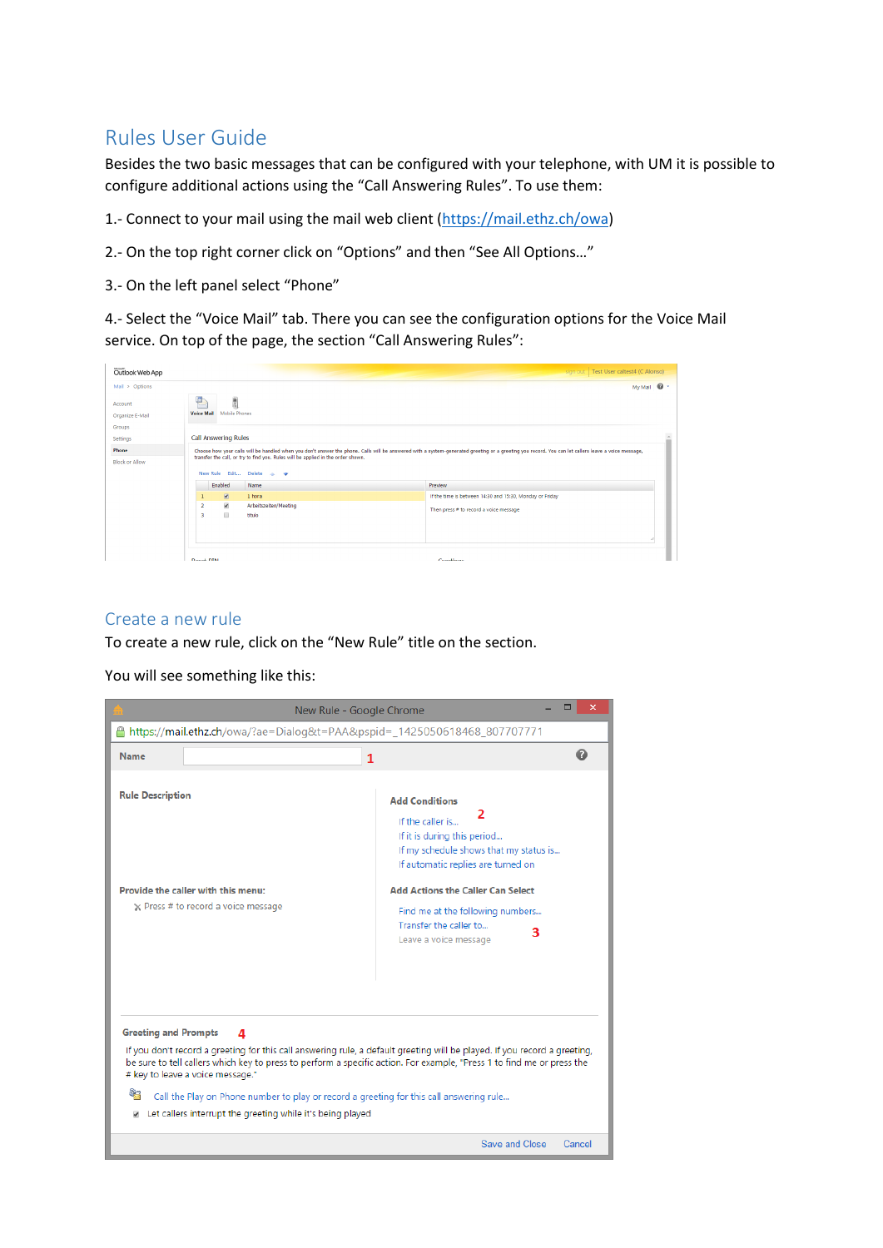# Rules User Guide

Besides the two basic messages that can be configured with your telephone, with UM it is possible to configure additional actions using the "Call Answering Rules". To use them:

- 1.- Connect to your mail using the mail web client [\(https://mail.ethz.ch/owa\)](https://mail.ethz.ch/owa)
- 2.- On the top right corner click on "Options" and then "See All Options…"
- 3.- On the left panel select "Phone"

4.- Select the "Voice Mail" tab. There you can see the configuration options for the Voice Mail service. On top of the page, the section "Call Answering Rules":

| Outlook Web App                | sign out   Test User caltest4 (C Alonso)<br>the company's company's company's                                                                                                                                                                                                                                     |  |  |
|--------------------------------|-------------------------------------------------------------------------------------------------------------------------------------------------------------------------------------------------------------------------------------------------------------------------------------------------------------------|--|--|
| Mail > Options                 | My Mail <sup>1</sup>                                                                                                                                                                                                                                                                                              |  |  |
| Account<br>Organize E-Mail     | 鳥流<br>Mobile Phones<br><b>Voice Mail</b>                                                                                                                                                                                                                                                                          |  |  |
| Groups<br><b>Settings</b>      | Call Answering Rules                                                                                                                                                                                                                                                                                              |  |  |
| Phone<br><b>Block or Allow</b> | Choose how your calls will be handled when you don't answer the phone. Calls will be answered with a system-generated greeting or a greeting you record. You can let callers leave a voice message,<br>transfer the call, or try to find you. Rules will be applied in the order shown.<br>New Rule Edit Delete A |  |  |
|                                | Enabled<br>Name<br>Preview                                                                                                                                                                                                                                                                                        |  |  |
|                                | $\overline{M}$<br>1 hora<br>If the time is between 14:30 and 15:30, Monday or Friday<br>$\mathbf{1}$<br>$\overline{\phantom{a}}$<br>$\overline{2}$<br>Arbeitszeiten/Meeting<br>Then press # to record a voice message<br>$\Box$<br>3<br>titulo                                                                    |  |  |
|                                | <b>Docot DIM</b><br>Crootings                                                                                                                                                                                                                                                                                     |  |  |

### Create a new rule

To create a new rule, click on the "New Rule" title on the section.

You will see something like this:

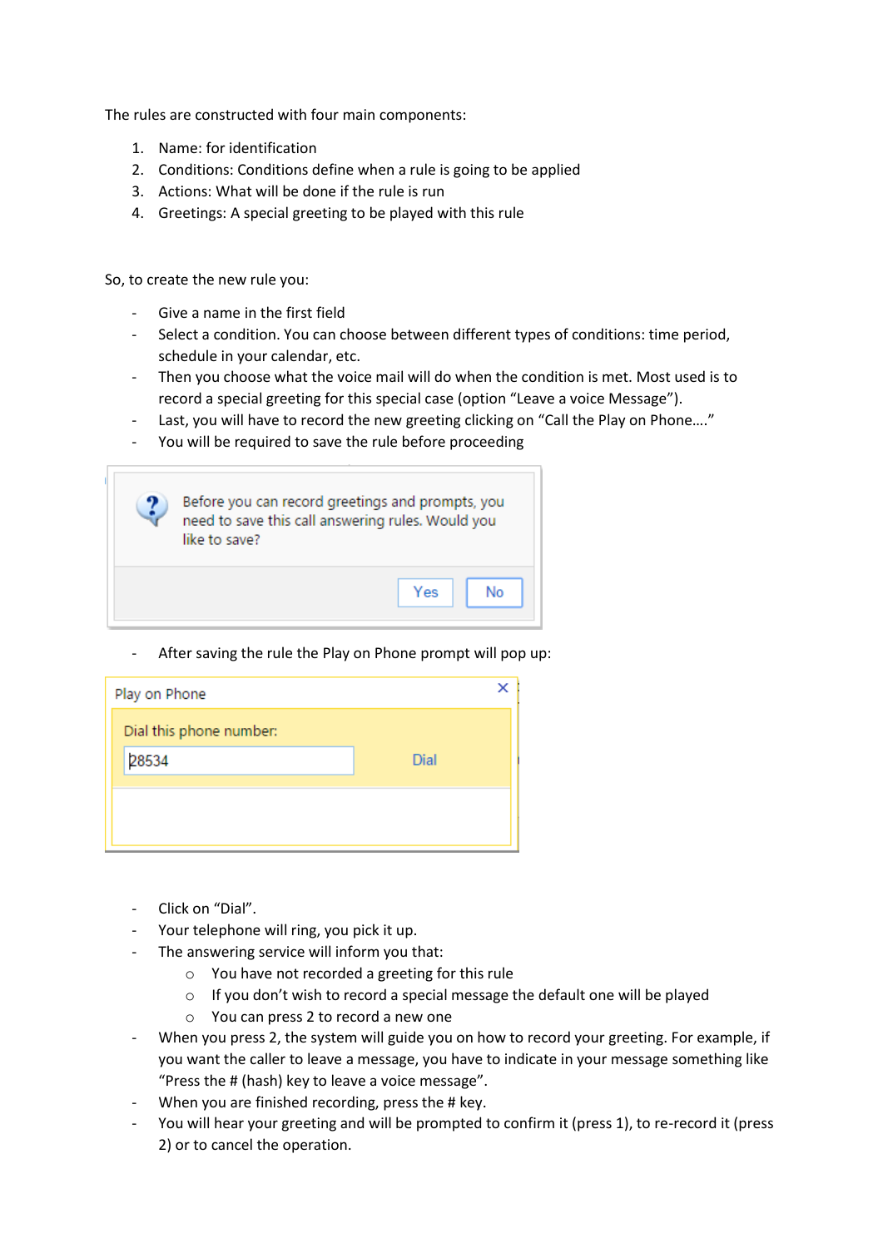The rules are constructed with four main components:

- 1. Name: for identification
- 2. Conditions: Conditions define when a rule is going to be applied
- 3. Actions: What will be done if the rule is run
- 4. Greetings: A special greeting to be played with this rule

So, to create the new rule you:

- Give a name in the first field
- Select a condition. You can choose between different types of conditions: time period, schedule in your calendar, etc.
- Then you choose what the voice mail will do when the condition is met. Most used is to record a special greeting for this special case (option "Leave a voice Message").
- Last, you will have to record the new greeting clicking on "Call the Play on Phone…."
- You will be required to save the rule before proceeding

| Before you can record greetings and prompts, you<br>need to save this call answering rules. Would you<br>like to save? |     |    |
|------------------------------------------------------------------------------------------------------------------------|-----|----|
|                                                                                                                        | Yes | No |

After saving the rule the Play on Phone prompt will pop up:

| Play on Phone           |      |  |
|-------------------------|------|--|
| Dial this phone number: |      |  |
| 28534                   | Dial |  |
|                         |      |  |
|                         |      |  |
|                         |      |  |

- Click on "Dial".
- Your telephone will ring, you pick it up.
- The answering service will inform you that:
	- o You have not recorded a greeting for this rule
	- o If you don't wish to record a special message the default one will be played
	- o You can press 2 to record a new one
- When you press 2, the system will guide you on how to record your greeting. For example, if you want the caller to leave a message, you have to indicate in your message something like "Press the # (hash) key to leave a voice message".
- When you are finished recording, press the # key.
- You will hear your greeting and will be prompted to confirm it (press 1), to re-record it (press 2) or to cancel the operation.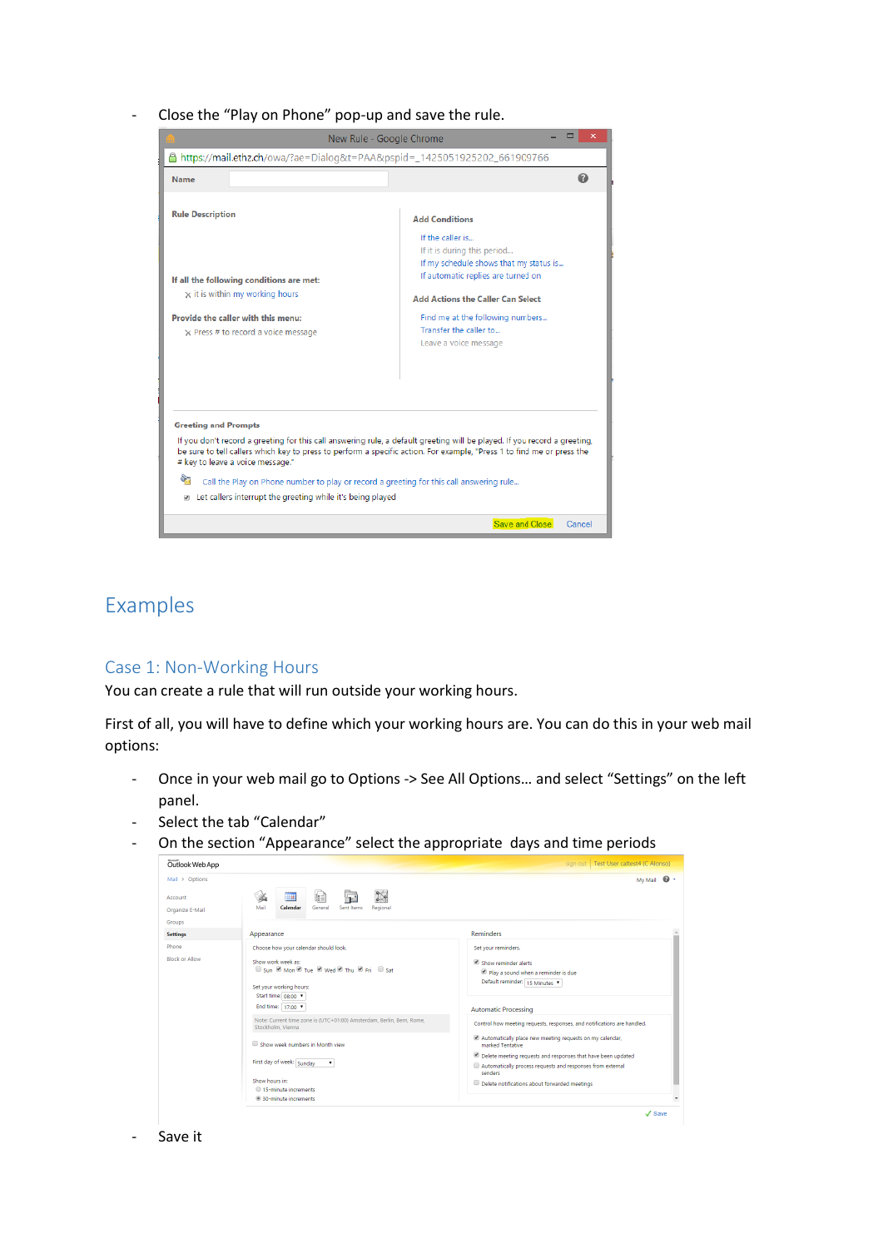Close the "Play on Phone" pop-up and save the rule.



# Examples

### Case 1: Non-Working Hours

You can create a rule that will run outside your working hours.

First of all, you will have to define which your working hours are. You can do this in your web mail options:

- Once in your web mail go to Options -> See All Options… and select "Settings" on the left panel.
- Select the tab "Calendar"
- On the section "Appearance" select the appropriate days and time periods



#### Save it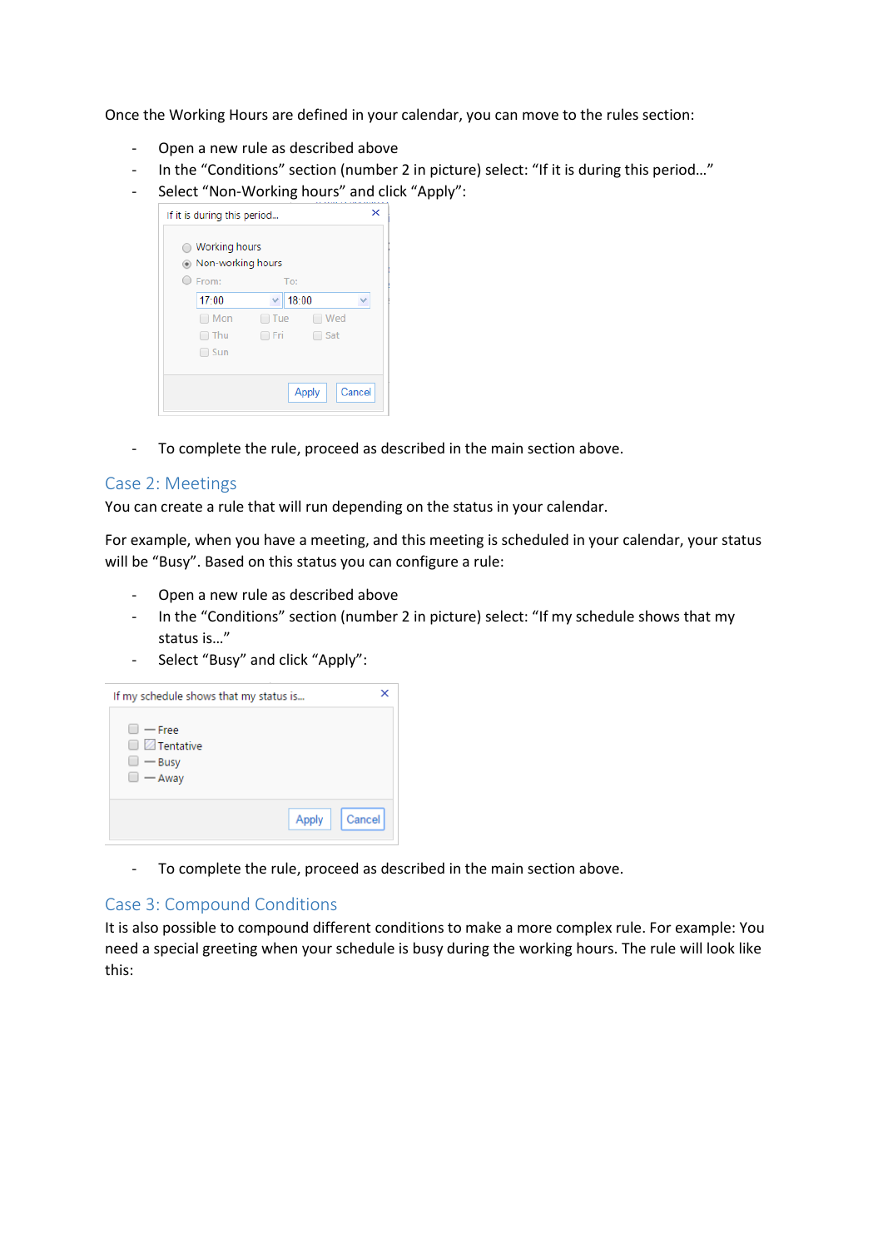Once the Working Hours are defined in your calendar, you can move to the rules section:

- Open a new rule as described above
- In the "Conditions" section (number 2 in picture) select: "If it is during this period..."
- Select "Non-Working hours" and click "Apply":

| If it is during this period            |       |       | x      |
|----------------------------------------|-------|-------|--------|
| ◯ Working hours<br>◉ Non-working hours |       |       |        |
| O From:                                | To:   |       |        |
| 17:00                                  | 18:00 |       |        |
| Mon                                    | □ Tue | ∩ Wed |        |
| Thu                                    | ∩ Fri | ∩ Sat |        |
| $\Box$ Sun                             |       |       |        |
|                                        |       |       |        |
|                                        |       | Apply | Cancel |

- To complete the rule, proceed as described in the main section above.

## Case 2: Meetings

You can create a rule that will run depending on the status in your calendar.

For example, when you have a meeting, and this meeting is scheduled in your calendar, your status will be "Busy". Based on this status you can configure a rule:

- Open a new rule as described above
- In the "Conditions" section (number 2 in picture) select: "If my schedule shows that my status is…"
- Select "Busy" and click "Apply":

| If my schedule shows that my status is                                    |                 |  |
|---------------------------------------------------------------------------|-----------------|--|
| $\Box$ $-$ Free<br>$\Box$ Tentative<br>$\Box$ $-$ Busy<br>$\Box$ $-$ Away |                 |  |
|                                                                           | Cancel<br>Apply |  |

- To complete the rule, proceed as described in the main section above.

## Case 3: Compound Conditions

It is also possible to compound different conditions to make a more complex rule. For example: You need a special greeting when your schedule is busy during the working hours. The rule will look like this: